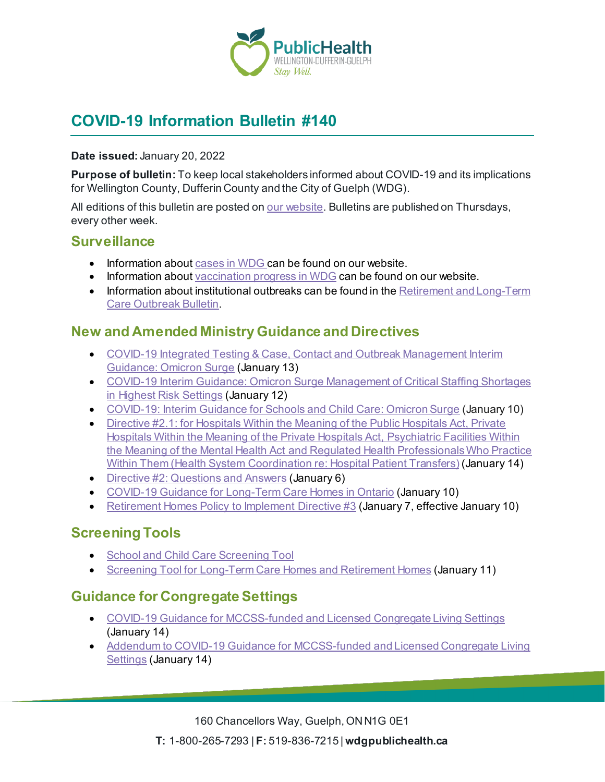

# **COVID-19 Information Bulletin #140**

**Date issued:** January 20, 2022

**Purpose of bulletin:** To keep local stakeholders informed about COVID-19 and its implications for Wellington County, Dufferin County and the City of Guelph (WDG).

All editions of this bulletin are posted o[n our website](https://www.wdgpublichealth.ca/your-health/covid-19-information-workplaces-and-living-spaces/community-stakeholder-bulletins). Bulletins are published on Thursdays, every other week.

#### **Surveillance**

- Information about [cases in WDG](https://wdgpublichealth.ca/your-health/covid-19-information-public/status-cases-wdg) can be found on our website.
- Information abou[t vaccination progress](https://www.wdgpublichealth.ca/your-health/covid-19-information-public/covid-19-vaccine-information-public) in WDG can be found on our website.
- Information about institutional outbreaks can be found in the Retirement and Long-Term [Care Outbreak Bulletin.](https://wdgpublichealth.ca/node/1542)

### **New and Amended Ministry Guidance and Directives**

- [COVID-19 Integrated Testing & Case, Contact and Outbreak Management Interim](https://www.health.gov.on.ca/en/pro/programs/publichealth/coronavirus/docs/contact_mngmt/management_cases_contacts_omicron.pdf)  [Guidance: Omicron Surge](https://www.health.gov.on.ca/en/pro/programs/publichealth/coronavirus/docs/contact_mngmt/management_cases_contacts_omicron.pdf) (January 13)
- [COVID-19 Interim Guidance: Omicron Surge Management of Critical Staffing Shortages](https://www.health.gov.on.ca/en/pro/programs/publichealth/coronavirus/docs/early_return%20_to_work.pdf)  [in Highest Risk Settings](https://www.health.gov.on.ca/en/pro/programs/publichealth/coronavirus/docs/early_return%20_to_work.pdf) (January 12)
- [COVID-19: Interim Guidance for Schools and Child Care: Omicron Surge](https://www.health.gov.on.ca/en/pro/programs/publichealth/coronavirus/docs/school_childcare_guidance_omicron.pdf) (January 10)
- [Directive #2.1: for Hospitals Within the Meaning of the](https://www.health.gov.on.ca/en/pro/programs/publichealth/coronavirus/docs/directives/directive_2.1_public_hopitals_act.pdf) Public Hospitals Act, Private [Hospitals Within the Meaning of the](https://www.health.gov.on.ca/en/pro/programs/publichealth/coronavirus/docs/directives/directive_2.1_public_hopitals_act.pdf) Private Hospitals Act, Psychiatric Facilities Within the Meaning of the Mental Health Act [and Regulated Health Professionals Who Practice](https://www.health.gov.on.ca/en/pro/programs/publichealth/coronavirus/docs/directives/directive_2.1_public_hopitals_act.pdf)  Within Them [\(Health System Coordination re: Hospital Patient Transfers\)](https://www.health.gov.on.ca/en/pro/programs/publichealth/coronavirus/docs/directives/directive_2.1_public_hopitals_act.pdf) (January 14)
- [Directive #2: Questions and Answers](https://www.health.gov.on.ca/en/pro/programs/publichealth/coronavirus/docs/directives/directive_2_qa.pdf) (January 6)
- [COVID-19 Guidance for Long-Term Care Homes in Ontario](https://www.ontario.ca/page/covid-19-guidance-document-long-term-care-homes-ontario) (January 10)
- [Retirement Homes Policy to Implement Directive #3](https://www.rhra.ca/wp-content/uploads/2022/01/Retirement-Homes-Policy-to-Implement-Directive-Jan-7-2022-Final.pdf) (January 7, effective January 10)

### **Screening Tools**

- [School and Child Care Screening Tool](https://covid-19.ontario.ca/school-screening/)
- [Screening Tool for Long-Term Care Homes and Retirement Homes](https://www.health.gov.on.ca/en/pro/programs/publichealth/coronavirus/docs/2019_screening_guidance.pdf) (January 11)

## **Guidance for Congregate Settings**

- [COVID-19 Guidance for MCCSS-funded and Licensed Congregate Living Settings](https://www.mcss.gov.on.ca/en/mcss/CongregateCare_Guidelines.aspx) (January 14)
- [Addendum to COVID-19 Guidance for MCCSS-funded and Licensed Congregate Living](https://www.mcss.gov.on.ca/en/mcss/CongregateCare_interim.aspx)  [Settings](https://www.mcss.gov.on.ca/en/mcss/CongregateCare_interim.aspx) (January 14)

160 Chancellors Way, Guelph, ON N1G 0E1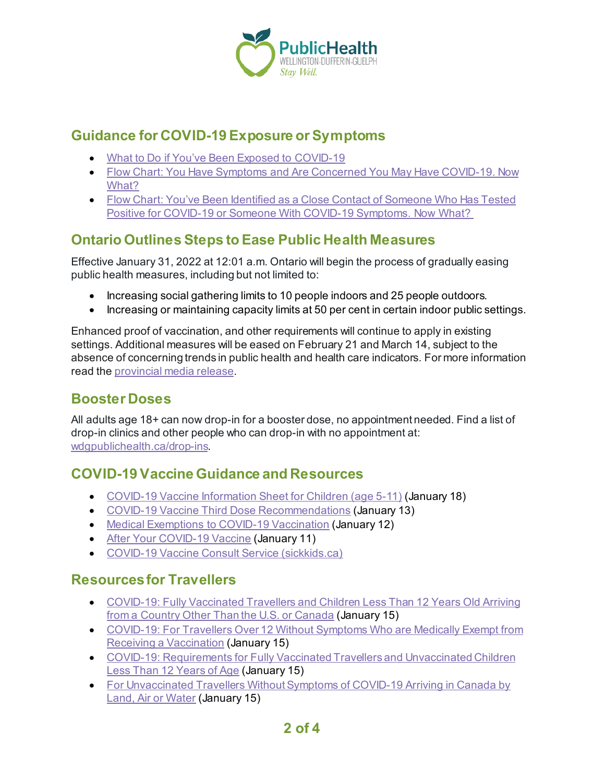

### **Guidance for COVID-19 Exposure or Symptoms**

- [What to Do if You've Been Exposed to](https://covid-19.ontario.ca/exposed) COVID-19
- Flow Chart: [You Have Symptoms and Are Concerned You May Have](https://wdgpublichealth.ca/sites/default/files/you_have_symptoms_and_are_concerned_you_may_have_covid-19._now_what.pdf) COVID-19. Now [What?](https://wdgpublichealth.ca/sites/default/files/you_have_symptoms_and_are_concerned_you_may_have_covid-19._now_what.pdf)
- Flow Chart: [You've Been Identified as a Close Contact of Someone Who Has Tested](https://wdgpublichealth.ca/sites/default/files/youve_been_identified_as_a_close_contact_of_someone_who_has_tested_positive_for_covid-19_or_someone_with_covid-19_symptoms._now_what.pdf)  Positive for [COVID-19 or Someone With](https://wdgpublichealth.ca/sites/default/files/youve_been_identified_as_a_close_contact_of_someone_who_has_tested_positive_for_covid-19_or_someone_with_covid-19_symptoms._now_what.pdf) COVID-19 Symptoms. Now What?

## **Ontario Outlines Steps to Ease Public Health Measures**

Effective January 31, 2022 at 12:01 a.m. Ontario will begin the process of gradually easing public health measures, including but not limited to:

- Increasing social gathering limits to 10 people indoors and 25 people outdoors.
- Increasing or maintaining capacity limits at 50 per cent in certain indoor public settings.

Enhanced proof of vaccination, and other requirements will continue to apply in existing settings. Additional measures will be eased on February 21 and March 14, subject to the absence of concerning trends in public health and health care indicators. For more information read th[e provincial media release](https://news.ontario.ca/en/release/1001451/ontario-outlines-steps-to-cautiously-and-gradually-ease-public-health-measures).

## **Booster Doses**

All adults age 18+ can now drop-in for a booster dose, no appointment needed. Find a list of drop-in clinics and other people who can drop-in with no appointment at: [wdgpublichealth.ca/drop-ins.](https://wdgpublichealth.ca/your-health/covid-19-information-public/covid-19-vaccine-information/drop-covid-19-vaccine-clinics)

## **COVID-19 Vaccine Guidance and Resources**

- [COVID-19 Vaccine Information Sheet for Children \(age 5-11\)](https://www.health.gov.on.ca/en/pro/programs/publichealth/coronavirus/docs/vaccine/COVID-19_vaccine_info_sheet_kids_5_11.pdf) (January 18)
- [COVID-19 Vaccine Third Dose Recommendations](https://www.health.gov.on.ca/en/pro/programs/publichealth/coronavirus/docs/vaccine/COVID-19_vaccine_third_dose_recommendations.pdf) (January 13)
- [Medical Exemptions to COVID-19 Vaccination](https://www.health.gov.on.ca/en/pro/programs/publichealth/coronavirus/docs/vaccine/medical_exemptions_to_vaccination.pdf) (January 12)
- [After Your COVID-19 Vaccine](https://www.health.gov.on.ca/en/pro/programs/publichealth/coronavirus/docs/vaccine/COVID-19_after_your_vaccine.pdf) (January 11)
- [COVID-19 Vaccine Consult Service \(sickkids.ca\)](https://www.sickkids.ca/en/care-services/support-services/covid-19-vaccine-consult/)

## **Resources for Travellers**

- [COVID-19: Fully Vaccinated Travellers and Children](https://www.canada.ca/en/public-health/services/publications/diseases-conditions/covid-19-arrival-testing-fully-vaccinated-travellers-from-country-other-united-states-canada.html) Less Than 12 Years Old Arriving [from a Country Other Than the U.S. or Canada](https://www.canada.ca/en/public-health/services/publications/diseases-conditions/covid-19-arrival-testing-fully-vaccinated-travellers-from-country-other-united-states-canada.html) (January 15)
- [COVID-19: For Travellers Over 12 Without Symptoms Who are Medically Exempt from](https://www.canada.ca/en/public-health/services/diseases/2019-novel-coronavirus-infection/awareness-resources/travellers-over-12-without-symptoms-medically-exempt-vaccination.html) [Receiving a Vaccination](https://www.canada.ca/en/public-health/services/diseases/2019-novel-coronavirus-infection/awareness-resources/travellers-over-12-without-symptoms-medically-exempt-vaccination.html) (January 15)
- [COVID-19: Requirements for Fully Vaccinated Travellers and Unvaccinated Children](https://www.canada.ca/en/public-health/services/publications/diseases-conditions/fully-vaccinated-travellers-without-covid-19-symptoms-returning-canada.html)  [Less Than 12 Years of Age](https://www.canada.ca/en/public-health/services/publications/diseases-conditions/fully-vaccinated-travellers-without-covid-19-symptoms-returning-canada.html) (January 15)
- [For Unvaccinated Travellers Without Symptoms of COVID-19 Arriving in Canada by](https://www.canada.ca/en/public-health/services/publications/diseases-conditions/2019-novel-coronavirus-information-sheet.html)  [Land, Air or Water](https://www.canada.ca/en/public-health/services/publications/diseases-conditions/2019-novel-coronavirus-information-sheet.html) (January 15)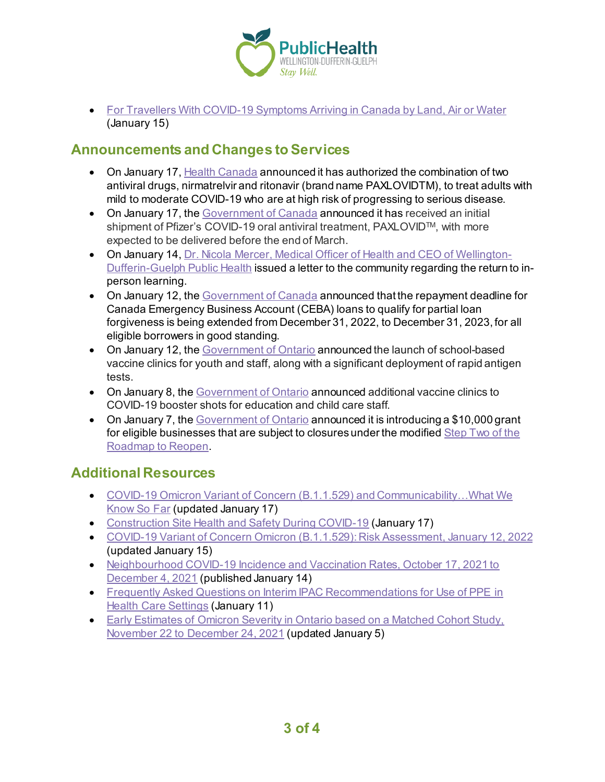

• [For Travellers With COVID-19 Symptoms Arriving in Canada by Land, Air or Water](https://www.canada.ca/en/public-health/services/publications/diseases-conditions/travellers-with-symptoms-return-canada.html) (January 15)

### **Announcements and Changes to Services**

- On January 17, [Health Canada](https://www.canada.ca/en/health-canada/news/2022/01/health-canada-authorizes-paxlovidtm-for-patients-with-mild-to-moderate-covid-19-at-high-risk-of-developing-serious-disease.html) announced it has authorized the combination of two antiviral drugs, nirmatrelvir and ritonavir (brand name PAXLOVIDTM), to treat adults with mild to moderate COVID-19 who are at high risk of progressing to serious disease.
- On January 17, th[e Government of Canada](https://www.canada.ca/en/public-services-procurement/news/2022/01/government-of-canada-receives-first-delivery-of-covid-19-oral-antiviral-treatment.html) announced it has received an initial shipment of Pfizer's COVID-19 oral antiviral treatment, PAXLOVID™, with more expected to be delivered before the end of March.
- On January 14, [Dr. Nicola Mercer, Medical Officer of Health](https://wdgpublichealth.ca/news/letter-community-dr-nicola-mercer-return-person-learning) and CEO of Wellington-[Dufferin-Guelph Public Health](https://wdgpublichealth.ca/news/letter-community-dr-nicola-mercer-return-person-learning) issued a letter to the community regarding the return to inperson learning.
- On January 12, th[e Government of Canada](https://www.canada.ca/en/department-finance/news/2022/01/government-extends-loan-forgiveness-repayment-deadline-for-the-canada-emergency-business-account.html) announced that the repayment deadline for Canada Emergency Business Account (CEBA) loans to qualify for partial loan forgiveness is being extended from December 31, 2022, to December 31, 2023, for all eligible borrowers in good standing.
- On January 12, th[e Government of Ontario](https://news.ontario.ca/en/release/1001417/ontario-launching-school-based-vaccine-clinics-as-students-return-to-in-person-learning) announced the launch of school-based vaccine clinics for youth and staff, along with a significant deployment of rapid antigen tests.
- On January 8, the [Government of Ontario](https://news.ontario.ca/en/release/1001404/ontario-adding-more-vaccine-clinics-for-education-and-child-care-staff) announced additional vaccine clinics to COVID-19 booster shots for education and child care staff.
- On January 7, the [Government of Ontario](https://news.ontario.ca/en/release/1001399/ontario-providing-supports-for-small-businesses-workers-and-families) announced it is introducing a \$10,000 grant for eligible businesses that are subject to closures under the modified Step Two of the [Roadmap to Reopen.](https://covid-19.ontario.ca/public-health-measures)

### **Additional Resources**

- [COVID-19 Omicron Variant of Concern \(B.1.1.529\) and Communicability…What We](https://www.publichealthontario.ca/-/media/documents/ncov/covid-wwksf/2022/01/wwksf-omicron-communicability.pdf?sc_lang=en)  [Know So Far](https://www.publichealthontario.ca/-/media/documents/ncov/covid-wwksf/2022/01/wwksf-omicron-communicability.pdf?sc_lang=en) (updated January 17)
- [Construction Site Health and Safety During COVID-19](https://www.ontario.ca/page/construction-site-health-and-safety-during-covid-19) (January 17)
- [COVID-19 Variant of Concern Omicron \(B.1.1.529\): Risk Assessment, January 12, 2022](https://www.publichealthontario.ca/-/media/documents/ncov/voc/2022/01/covid-19-omicron-b11529-risk-assessment-jan-12.pdf?sc_lang=en) (updated January 15)
- Neighbourhood COVID-19 Incidence and Vaccination Rates, October 17, 2021 to [December 4, 2021](https://www.publichealthontario.ca/-/media/documents/ncov/epi/covid-19-neighbourhood-incidence-vaccination-epi-summary.pdf?sc_lang=en) (published January 14)
- [Frequently Asked Questions on Interim IPAC Recommendations for Use of PPE in](https://www.publichealthontario.ca/-/media/documents/ncov/phm/covid-19-faq-interim-ipac-recommendations-ppe-use.pdf?sc_lang=en)  [Health Care Settings](https://www.publichealthontario.ca/-/media/documents/ncov/phm/covid-19-faq-interim-ipac-recommendations-ppe-use.pdf?sc_lang=en) (January 11)
- [Early Estimates of Omicron Severity in Ontario based on a Matched Cohort Study,](https://www.publichealthontario.ca/-/media/documents/ncov/epi/covid-19-epi-enhanced-estimates-omicron-severity-study.pdf?sc_lang=en)  [November 22 to December 24, 2021](https://www.publichealthontario.ca/-/media/documents/ncov/epi/covid-19-epi-enhanced-estimates-omicron-severity-study.pdf?sc_lang=en) (updated January 5)